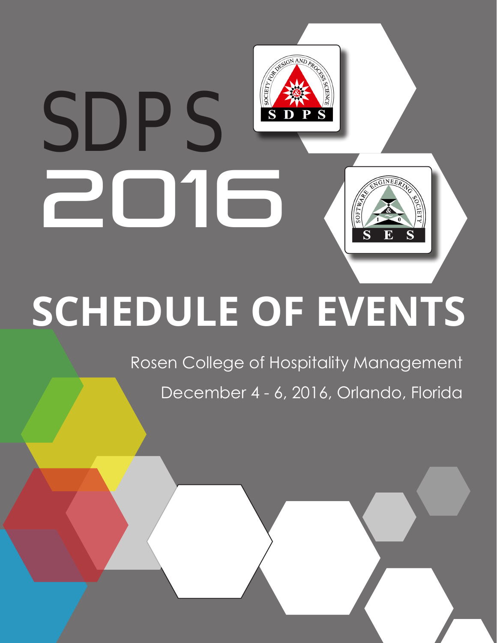# **GNAND** SOCIETY SD 2016 INEE **SCHEDULE OF EVENTS**

Rosen College of Hospitality Management December 4 - 6, 2016, Orlando, Florida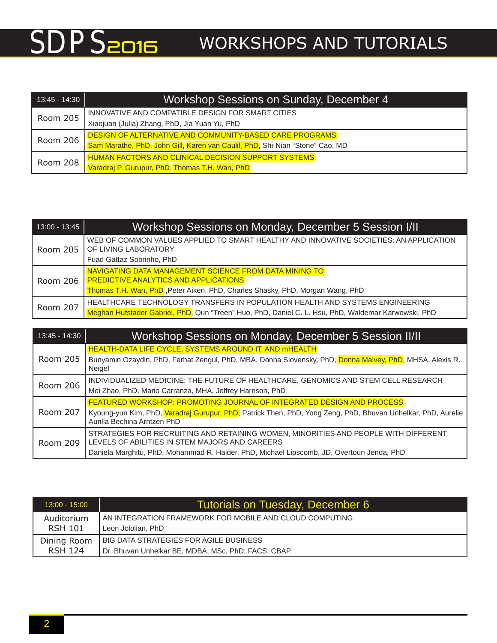| 13:45 - 14:30 | Workshop Sessions on Sunday, December 4                                      |  |  |  |  |  |
|---------------|------------------------------------------------------------------------------|--|--|--|--|--|
| Room 205      | INNOVATIVE AND COMPATIBLE DESIGN FOR SMART CITIES                            |  |  |  |  |  |
|               | Xiaojuan (Julia) Zhang, PhD, Jia Yuan Yu, PhD                                |  |  |  |  |  |
|               | DESIGN OF ALTERNATIVE AND COMMUNITY-BASED CARE PROGRAMS                      |  |  |  |  |  |
| Room 206      | Sam Marathe, PhD, John Gill, Karen van Caulil, PhD, Shi-Nian "Stone" Cao, MD |  |  |  |  |  |
| Room 208      | <b>HUMAN FACTORS AND CLINICAL DECISION SUPPORT SYSTEMS</b>                   |  |  |  |  |  |
|               | Varadraj P. Gurupur, PhD, Thomas T.H. Wan, PhD                               |  |  |  |  |  |

| $13:00 - 13:45$ | Workshop Sessions on Monday, December 5 Session I/II                                                                                                                                    |  |  |  |  |
|-----------------|-----------------------------------------------------------------------------------------------------------------------------------------------------------------------------------------|--|--|--|--|
| Room 205        | WEB OF COMMON VALUES APPLIED TO SMART HEALTHY AND INNOVATIVE SOCIETIES: AN APPLICATION<br>OF LIVING LABORATORY<br>Fuad Gattaz Sobrinho, PhD                                             |  |  |  |  |
| Room 206        | NAVIGATING DATA MANAGEMENT SCIENCE FROM DATA MINING TO<br><b>PREDICTIVE ANALYTICS AND APPLICATIONS</b><br>Thomas T.H. Wan, PhD, Peter Aiken, PhD, Charles Shasky, PhD, Morgan Wang, PhD |  |  |  |  |
| Room 207        | HEALTHCARE TECHNOLOGY TRANSFERS IN POPULATION HEALTH AND SYSTEMS ENGINEERING<br>Meghan Hufstader Gabriel, PhD, Qun "Treen" Huo, PhD, Daniel C. L. Hsu, PhD, Waldemar Karwowski, PhD     |  |  |  |  |

| 13:45 - 14:30 | Workshop Sessions on Monday, December 5 Session II/II                                                                                       |  |  |  |  |
|---------------|---------------------------------------------------------------------------------------------------------------------------------------------|--|--|--|--|
|               | <b>HEALTH-DATA LIFE CYCLE, SYSTEMS AROUND IT, AND MHEALTH</b>                                                                               |  |  |  |  |
| Room 205      | Bunyamin Ozaydin, PhD, Ferhat Zengul, PhD, MBA, Donna Slovensky, PhD, Donna Malvey, PhD, MHSA, Alexis R.<br>Neigel                          |  |  |  |  |
| Room 206      | INDIVIDUALIZED MEDICINE: THE FUTURE OF HEALTHCARE, GENOMICS AND STEM CELL RESEARCH                                                          |  |  |  |  |
|               | Mei Zhao, PhD, Mario Carranza, MHA, Jeffrey Harrison, PhD                                                                                   |  |  |  |  |
|               | <b>FEATURED WORKSHOP: PROMOTING JOURNAL OF INTEGRATED DESIGN AND PROCESS</b>                                                                |  |  |  |  |
| Room 207      | Kyoung-yun Kim, PhD, Varadraj Gurupur, PhD, Patrick Then, PhD, Yong Zeng, PhD, Bhuvan Unhelkar, PhD, Aurelie<br>Aurilla Bechina Arntzen PhD |  |  |  |  |
|               | STRATEGIES FOR RECRUITING AND RETAINING WOMEN, MINORITIES AND PEOPLE WITH DIFFERENT                                                         |  |  |  |  |
| Room 209      | LEVELS OF ABILITIES IN STEM MAJORS AND CAREERS                                                                                              |  |  |  |  |
|               | Daniela Marghitu, PhD, Mohammad R. Haider, PhD, Michael Lipscomb, JD, Overtoun Jenda, PhD                                                   |  |  |  |  |

| $13:00 - 15:00$ | <b>Tutorials on Tuesday, December 6</b>                 |
|-----------------|---------------------------------------------------------|
| Auditorium      | AN INTEGRATION FRAMEWORK FOR MOBILE AND CLOUD COMPUTING |
| <b>RSH 101</b>  | Leon Jololian, PhD                                      |
| Dining Room     | <b>BIG DATA STRATEGIES FOR AGILE BUSINESS</b>           |
| <b>RSH 124</b>  | Dr. Bhuvan Unhelkar BE, MDBA, MSc, PhD; FACS; CBAP.     |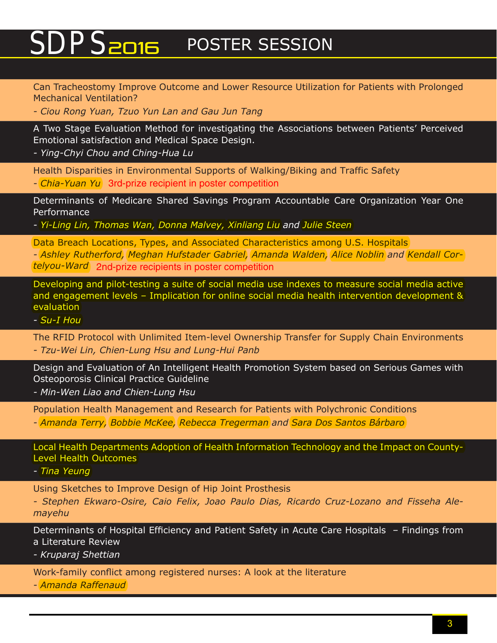## SDPS<sub>2016</sub> POSTER SESSION

Can Tracheostomy Improve Outcome and Lower Resource Utilization for Patients with Prolonged Mechanical Ventilation?

*- Ciou Rong Yuan, Tzuo Yun Lan and Gau Jun Tang*

A Two Stage Evaluation Method for investigating the Associations between Patients' Perceived Emotional satisfaction and Medical Space Design.

*- Ying-Chyi Chou and Ching-Hua Lu*

Health Disparities in Environmental Supports of Walking/Biking and Traffic Safety *- Chia-Yuan Yu* 3rd-prize recipient in poster competition

Determinants of Medicare Shared Savings Program Accountable Care Organization Year One Performance

*- Yi-Ling Lin, Thomas Wan, Donna Malvey, Xinliang Liu and Julie Steen*

Data Breach Locations, Types, and Associated Characteristics among U.S. Hospitals *- Ashley Rutherford, Meghan Hufstader Gabriel, Amanda Walden, Alice Noblin and Kendall Cortelyou-Ward* 2nd-prize recipients in poster competition

Developing and pilot-testing a suite of social media use indexes to measure social media active and engagement levels – Implication for online social media health intervention development & evaluation

*- Su-I Hou*

The RFID Protocol with Unlimited Item-level Ownership Transfer for Supply Chain Environments *- Tzu-Wei Lin, Chien-Lung Hsu and Lung-Hui Panb*

Design and Evaluation of An Intelligent Health Promotion System based on Serious Games with Osteoporosis Clinical Practice Guideline

*- Min-Wen Liao and Chien-Lung Hsu*

Population Health Management and Research for Patients with Polychronic Conditions *- Amanda Terry, Bobbie McKee, Rebecca Tregerman and Sara Dos Santos Bárbaro*

Local Health Departments Adoption of Health Information Technology and the Impact on County-Level Health Outcomes

*- Tina Yeung*

Using Sketches to Improve Design of Hip Joint Prosthesis

*- Stephen Ekwaro-Osire, Caio Felix, Joao Paulo Dias, Ricardo Cruz-Lozano and Fisseha Alemayehu*

Determinants of Hospital Efficiency and Patient Safety in Acute Care Hospitals – Findings from a Literature Review

*- Kruparaj Shettian*

Work-family conflict among registered nurses: A look at the literature

*- Amanda Raffenaud*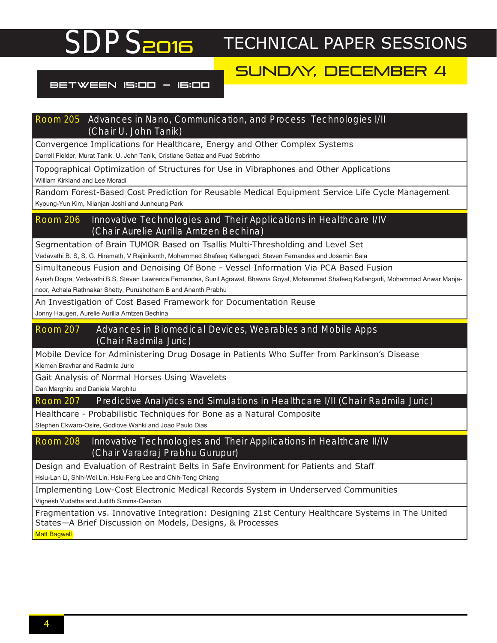#### SUNDAY, DECEMBER 4

#### BETWEEN 15:00 - 16:00

#### Room 205 Advances in Nano, Communication, and Process Technologies I/II (Chair U. John Tanik)

Convergence Implications for Healthcare, Energy and Other Complex Systems Darrell Fielder, Murat Tanik, U. John Tanik, Cristiane Gattaz and Fuad Sobrinho

Topographical Optimization of Structures for Use in Vibraphones and Other Applications William Kirkland and Lee Moradi

Random Forest-Based Cost Prediction for Reusable Medical Equipment Service Life Cycle Management Kyoung-Yun Kim, Nilanjan Joshi and Junheung Park

#### Room 206 Innovative Technologies and Their Applications in Healthcare I/IV (Chair Aurelie Aurilla Arntzen Bechina)

Segmentation of Brain TUMOR Based on Tsallis Multi-Thresholding and Level Set

Vedavathi B. S, S. G. Hiremath, V Rajinikanth, Mohammed Shafeeq Kallangadi, Steven Fernandes and Josemin Bala

Simultaneous Fusion and Denoising Of Bone - Vessel Information Via PCA Based Fusion Ayush Dogra, Vedavathi B.S, Steven Lawrence Fernandes, Sunil Agrawal, Bhawna Goyal, Mohammed Shafeeq Kallangadi, Mohammad Anwar Manjanoor, Achala Rathnakar Shetty, Purushotham B and Ananth Prabhu

#### An Investigation of Cost Based Framework for Documentation Reuse

Jonny Haugen, Aurelie Aurilla Arntzen Bechina

#### Room 207 Advances in Biomedical Devices, Wearables and Mobile Apps (Chair Radmila Juric)

Mobile Device for Administering Drug Dosage in Patients Who Suffer from Parkinson's Disease Klemen Bravhar and Radmila Juric

Gait Analysis of Normal Horses Using Wavelets

Dan Marghitu and Daniela Marghitu

#### Room 207 Predictive Analytics and Simulations in Healthcare I/II (Chair Radmila Juric)

Healthcare - Probabilistic Techniques for Bone as a Natural Composite

Stephen Ekwaro-Osire, Godlove Wanki and Joao Paulo Dias

#### Room 208 Innovative Technologies and Their Applications in Healthcare II/IV (Chair Varadraj Prabhu Gurupur)

Design and Evaluation of Restraint Belts in Safe Environment for Patients and Staff

Hsiu-Lan Li, Shih-Wei Lin, Hsiu-Feng Lee and Chih-Teng Chiang

Implementing Low-Cost Electronic Medical Records System in Underserved Communities Vignesh Vudatha and Judith Simms-Cendan

Fragmentation vs. Innovative Integration: Designing 21st Century Healthcare Systems in The United States—A Brief Discussion on Models, Designs, & Processes **Matt Bagwell**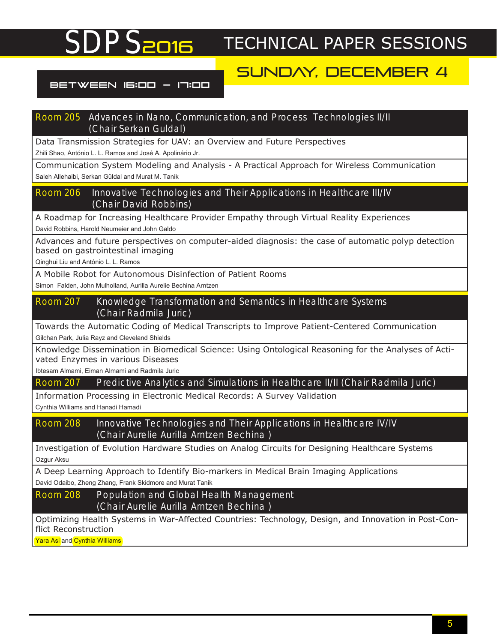### SUNDAY, DECEMBER 4

#### BETWEEN 16:00 - 17:00

#### Room 205 Advances in Nano, Communication, and Process Technologies II/II (Chair Serkan Guldal)

Data Transmission Strategies for UAV: an Overview and Future Perspectives

Zhili Shao, António L. L. Ramos and José A. Apolinário Jr.

Communication System Modeling and Analysis - A Practical Approach for Wireless Communication Saleh Allehaibi, Serkan Güldal and Murat M. Tanik

Room 206 Innovative Technologies and Their Applications in Healthcare III/IV (Chair David Robbins)

A Roadmap for Increasing Healthcare Provider Empathy through Virtual Reality Experiences David Robbins, Harold Neumeier and John Galdo

Advances and future perspectives on computer-aided diagnosis: the case of automatic polyp detection based on gastrointestinal imaging

Qinghui Liu and António L. L. Ramos

A Mobile Robot for Autonomous Disinfection of Patient Rooms

Simon Falden, John Mulholland, Aurilla Aurelie Bechina Arntzen

#### Room 207 Knowledge Transformation and Semantics in Healthcare Systems (Chair Radmila Juric)

Towards the Automatic Coding of Medical Transcripts to Improve Patient-Centered Communication Gilchan Park, Julia Rayz and Cleveland Shields

Knowledge Dissemination in Biomedical Science: Using Ontological Reasoning for the Analyses of Activated Enzymes in various Diseases

Ibtesam Almami, Eiman Almami and Radmila Juric

Room 207 Predictive Analytics and Simulations in Healthcare II/II (Chair Radmila Juric)

Information Processing in Electronic Medical Records: A Survey Validation

Cynthia Williams and Hanadi Hamadi

Room 208 Innovative Technologies and Their Applications in Healthcare IV/IV (Chair Aurelie Aurilla Arntzen Bechina )

Investigation of Evolution Hardware Studies on Analog Circuits for Designing Healthcare Systems Ozgur Aksu

A Deep Learning Approach to Identify Bio-markers in Medical Brain Imaging Applications David Odaibo, Zheng Zhang, Frank Skidmore and Murat Tanik

Room 208 Population and Global Health Management (Chair Aurelie Aurilla Arntzen Bechina )

Optimizing Health Systems in War-Affected Countries: Technology, Design, and Innovation in Post-Conflict Reconstruction

Yara Asi and Cynthia Williams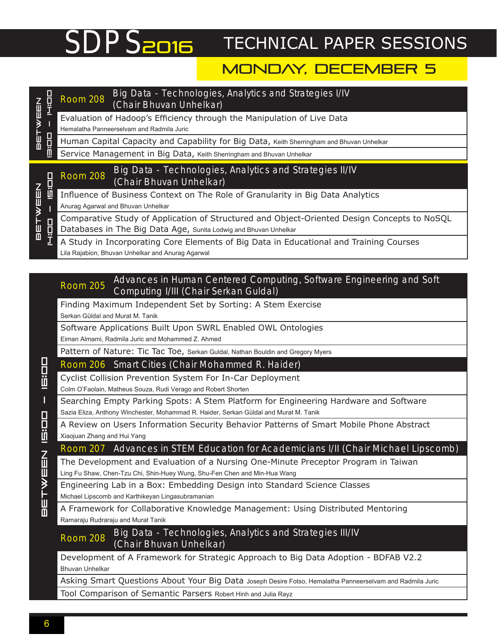### MONDAY, DECEMBER 5

| $\mathbf{w}$ EEn<br>린<br>ד<br>ש | ᄪ       | Big Data - Technologies, Analytics and Strategies I/IV<br><b>Room 208</b><br>(Chair Bhuvan Unhelkar)                                                            |
|---------------------------------|---------|-----------------------------------------------------------------------------------------------------------------------------------------------------------------|
|                                 | 日前      | Evaluation of Hadoop's Efficiency through the Manipulation of Live Data<br>Hemalatha Panneerselvam and Radmila Juric                                            |
|                                 |         | Human Capital Capacity and Capability for Big Data, Keith Sherringham and Bhuvan Unhelkar                                                                       |
|                                 |         | Service Management in Big Data, Keith Sherringham and Bhuvan Unhelkar                                                                                           |
| <b>BETWEEN</b>                  | Ö<br>日中 | Big Data - Technologies, Analytics and Strategies II/IV<br><b>Room 208</b><br>(Chair Bhuvan Unhelkar)                                                           |
|                                 |         | Influence of Business Context on The Role of Granularity in Big Data Analytics<br>Anurag Agarwal and Bhuvan Unhelkar                                            |
|                                 |         | Comparative Study of Application of Structured and Object-Oriented Design Concepts to NoSQL<br>Databases in The Big Data Age, Sunita Lodwig and Bhuvan Unhelkar |
|                                 |         | A Study in Incorporating Core Elements of Big Data in Educational and Training Courses<br>Lila Rajabion, Bhuvan Unhelkar and Anurag Agarwal                     |
|                                 |         |                                                                                                                                                                 |

#### Room 205 Advances in Human Centered Computing, Software Engineering and Soft Computing I/III (Chair Serkan Guldal)

Finding Maximum Independent Set by Sorting: A Stem Exercise Serkan Güldal and Murat M. Tanik

Software Applications Built Upon SWRL Enabled OWL Ontologies

Eiman Almami, Radmila Juric and Mohammed Z. Ahmed

Pattern of Nature: Tic Tac Toe, Serkan Guldal, Nathan Bouldin and Gregory Myers

Room 206 Smart Cities (Chair Mohammed R. Haider)

Cyclist Collision Prevention System For In-Car Deployment

Colm O'Faolain, Matheus Souza, Rudi Verago and Robert Shorten

Searching Empty Parking Spots: A Stem Platform for Engineering Hardware and Software Sazia Eliza, Anthony Winchester, Mohammad R. Haider, Serkan Güldal and Murat M. Tanik

A Review on Users Information Security Behavior Patterns of Smart Mobile Phone Abstract Xiaojuan Zhang and Hui Yang

#### Room 207 Advances in STEM Education for Academicians I/II (Chair Michael Lipscomb)

The Development and Evaluation of a Nursing One-Minute Preceptor Program in Taiwan Ling Fu Shaw, Chen-Tzu Chi, Shin-Huey Wung, Shu-Fen Chen and Min-Hua Wang

Engineering Lab in a Box: Embedding Design into Standard Science Classes Michael Lipscomb and Karthikeyan Lingasubramanian

A Framework for Collaborative Knowledge Management: Using Distributed Mentoring Ramaraju Rudraraju and Murat Tanik

Room 208 Big Data - Technologies, Analytics and Strategies III/IV (Chair Bhuvan Unhelkar)

Development of A Framework for Strategic Approach to Big Data Adoption - BDFAB V2.2 Bhuvan Unhelkar

Asking Smart Questions About Your Big Data Joseph Desire Fotso, Hemalatha Panneerselvam and Radmila Juric

Tool Comparison of Semantic Parsers Robert Hinh and Julia Rayz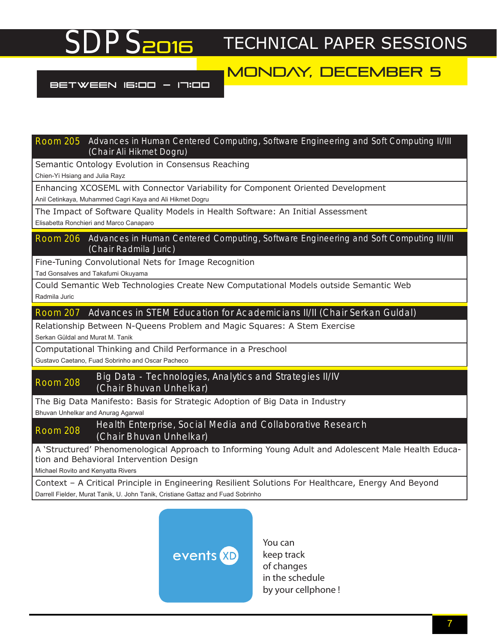### MONDAY, DECEMBER 5

BETWEEN 16:00 - 17:00

Room 205 Advances in Human Centered Computing, Software Engineering and Soft Computing II/III (Chair Ali Hikmet Dogru)

Semantic Ontology Evolution in Consensus Reaching

Chien-Yi Hsiang and Julia Rayz

Enhancing XCOSEML with Connector Variability for Component Oriented Development Anil Cetinkaya, Muhammed Cagri Kaya and Ali Hikmet Dogru

The Impact of Software Quality Models in Health Software: An Initial Assessment

Elisabetta Ronchieri and Marco Canaparo

Room 206 Advances in Human Centered Computing, Software Engineering and Soft Computing III/III (Chair Radmila Juric)

Fine-Tuning Convolutional Nets for Image Recognition

Tad Gonsalves and Takafumi Okuyama

Could Semantic Web Technologies Create New Computational Models outside Semantic Web Radmila Juric

Room 207 Advances in STEM Education for Academicians II/II (Chair Serkan Guldal)

Relationship Between N-Queens Problem and Magic Squares: A Stem Exercise

Serkan Güldal and Murat M. Tanik

Computational Thinking and Child Performance in a Preschool

Gustavo Caetano, Fuad Sobrinho and Oscar Pacheco

#### Room 208 Big Data - Technologies, Analytics and Strategies II/IV (Chair Bhuvan Unhelkar)

The Big Data Manifesto: Basis for Strategic Adoption of Big Data in Industry

Bhuvan Unhelkar and Anurag Agarwal

Room 208 Health Enterprise, Social Media and Collaborative Research (Chair Bhuvan Unhelkar)

A 'Structured' Phenomenological Approach to Informing Young Adult and Adolescent Male Health Education and Behavioral Intervention Design

Michael Rovito and Kenyatta Rivers

Context – A Critical Principle in Engineering Resilient Solutions For Healthcare, Energy And Beyond Darrell Fielder, Murat Tanik, U. John Tanik, Cristiane Gattaz and Fuad Sobrinho



You can keep track of changes in the schedule by your cellphone !